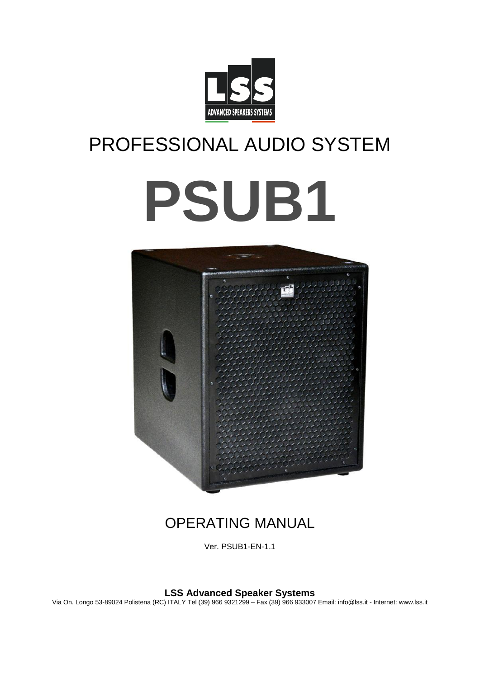

## PROFESSIONAL AUDIO SYSTEM

# **PSUB1**



## OPERATING MANUAL

Ver. PSUB1-EN-1.1

**LSS Advanced Speaker Systems**

Via On. Longo 53-89024 Polistena (RC) ITALY Tel (39) 966 9321299 – Fax (39) 966 933007 Email: info@lss.it - Internet: www.lss.it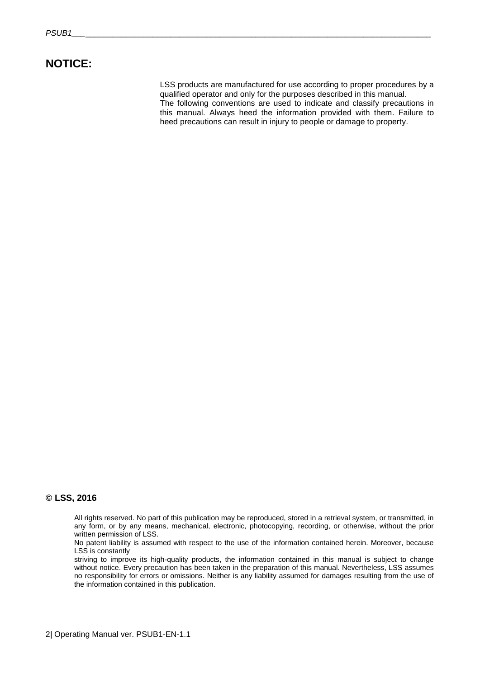#### **NOTICE:**

LSS products are manufactured for use according to proper procedures by a qualified operator and only for the purposes described in this manual. The following conventions are used to indicate and classify precautions in this manual. Always heed the information provided with them. Failure to heed precautions can result in injury to people or damage to property.

#### **© LSS, 2016**

All rights reserved. No part of this publication may be reproduced, stored in a retrieval system, or transmitted, in any form, or by any means, mechanical, electronic, photocopying, recording, or otherwise, without the prior written permission of LSS.

No patent liability is assumed with respect to the use of the information contained herein. Moreover, because LSS is constantly

striving to improve its high-quality products, the information contained in this manual is subject to change without notice. Every precaution has been taken in the preparation of this manual. Nevertheless, LSS assumes no responsibility for errors or omissions. Neither is any liability assumed for damages resulting from the use of the information contained in this publication.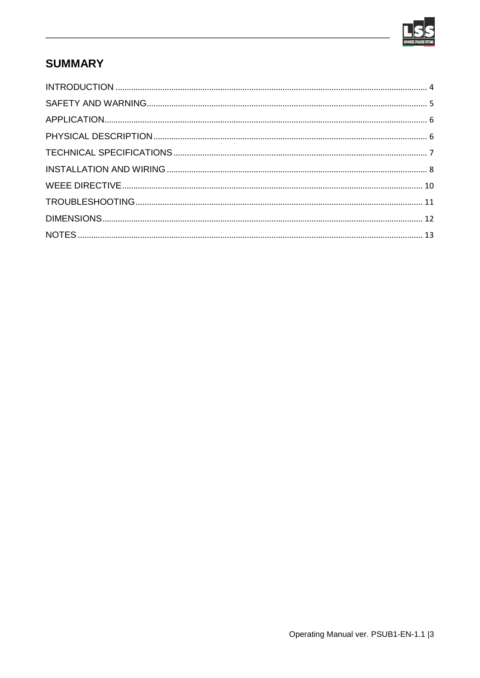

## **SUMMARY**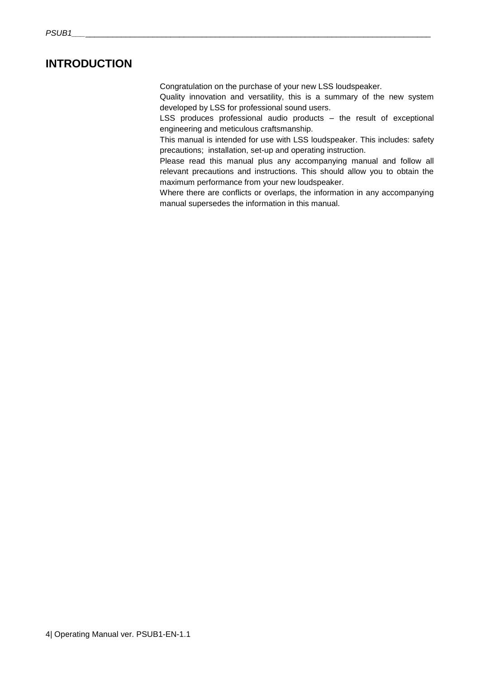### <span id="page-3-0"></span>**INTRODUCTION**

Congratulation on the purchase of your new LSS loudspeaker.

Quality innovation and versatility, this is a summary of the new system developed by LSS for professional sound users.

LSS produces professional audio products – the result of exceptional engineering and meticulous craftsmanship.

This manual is intended for use with LSS loudspeaker. This includes: safety precautions; installation, set-up and operating instruction.

Please read this manual plus any accompanying manual and follow all relevant precautions and instructions. This should allow you to obtain the maximum performance from your new loudspeaker.

Where there are conflicts or overlaps, the information in any accompanying manual supersedes the information in this manual.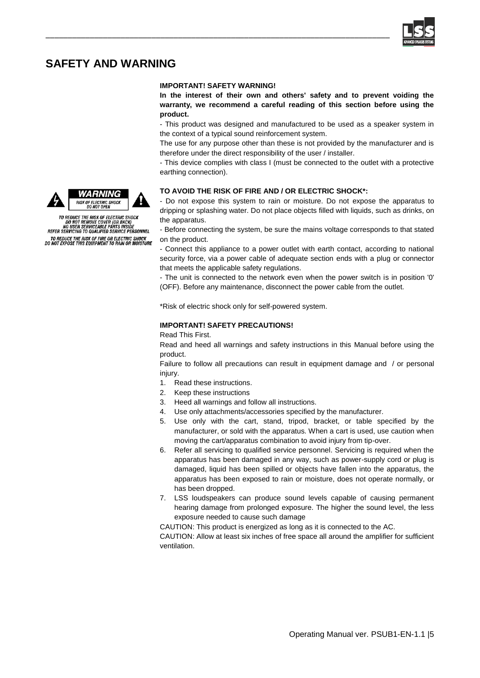

## <span id="page-4-0"></span>**SAFETY AND WARNING**

#### **IMPORTANT! SAFETY WARNING!**

\_\_\_\_\_\_\_\_\_\_\_\_\_\_\_\_\_\_\_\_\_\_\_\_\_\_\_\_\_\_\_\_\_\_\_\_\_\_\_\_\_\_\_\_\_\_\_\_\_\_\_\_\_\_\_\_\_\_\_\_\_\_\_\_\_\_\_\_\_\_\_\_\_\_\_\_\_\_

**In the interest of their own and others' safety and to prevent voiding the warranty, we recommend a careful reading of this section before using the product.**

- This product was designed and manufactured to be used as a speaker system in the context of a typical sound reinforcement system.

The use for any purpose other than these is not provided by the manufacturer and is therefore under the direct responsibility of the user / installer.

- This device complies with class I (must be connected to the outlet with a protective earthing connection).

#### **TO AVOID THE RISK OF FIRE AND / OR ELECTRIC SHOCK\*:**

- Do not expose this system to rain or moisture. Do not expose the apparatus to dripping or splashing water. Do not place objects filled with liquids, such as drinks, on the apparatus.

- Before connecting the system, be sure the mains voltage corresponds to that stated on the product.

- Connect this appliance to a power outlet with earth contact, according to national security force, via a power cable of adequate section ends with a plug or connector that meets the applicable safety regulations.

- The unit is connected to the network even when the power switch is in position '0' (OFF). Before any maintenance, disconnect the power cable from the outlet.

\*Risk of electric shock only for self-powered system.

#### **IMPORTANT! SAFETY PRECAUTIONS!**

Read This First.

Read and heed all warnings and safety instructions in this Manual before using the product.

Failure to follow all precautions can result in equipment damage and / or personal injury.

- 1. Read these instructions.
- 2. Keep these instructions
- 3. Heed all warnings and follow all instructions.
- 4. Use only attachments/accessories specified by the manufacturer.
- 5. Use only with the cart, stand, tripod, bracket, or table specified by the manufacturer, or sold with the apparatus. When a cart is used, use caution when moving the cart/apparatus combination to avoid injury from tip-over.
- 6. Refer all servicing to qualified service personnel. Servicing is required when the apparatus has been damaged in any way, such as power-supply cord or plug is damaged, liquid has been spilled or objects have fallen into the apparatus, the apparatus has been exposed to rain or moisture, does not operate normally, or has been dropped.
- 7. LSS loudspeakers can produce sound levels capable of causing permanent hearing damage from prolonged exposure. The higher the sound level, the less exposure needed to cause such damage

CAUTION: This product is energized as long as it is connected to the AC.

CAUTION: Allow at least six inches of free space all around the amplifier for sufficient ventilation.





TO REDUCE THE RISK OF ELECTRIC SHOCK<br>DO NOT REMOVE COVER (OR BACK)<br>NO USER SERVICEABLE PARTS INSIDE<br>REFER SERVICING TO QUALIFIED SERVICE PERSONNEL TO REDUCE THE RISK OF FIRE OR ELECTRIC SHOCK<br>DO NOT EXPOSE THIS EQUIPMENT TO RAIN OR MOISTURE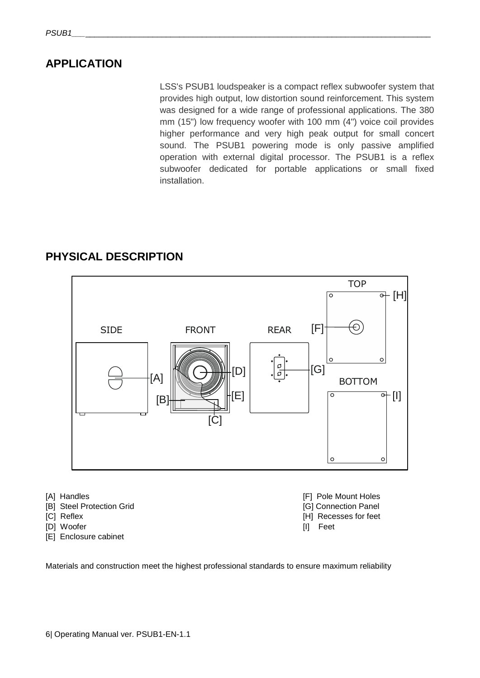## <span id="page-5-0"></span>**APPLICATION**

LSS's PSUB1 loudspeaker is a compact reflex subwoofer system that provides high output, low distortion sound reinforcement. This system was designed for a wide range of professional applications. The 380 mm (15") low frequency woofer with 100 mm (4") voice coil provides higher performance and very high peak output for small concert sound. The PSUB1 powering mode is only passive amplified operation with external digital processor. The PSUB1 is a reflex subwoofer dedicated for portable applications or small fixed installation.

## <span id="page-5-1"></span>**PHYSICAL DESCRIPTION**



- [B] Steel Protection Grid **[G]** Connection Panel
- 
- [D] Woofer [I] Feet
- [E] Enclosure cabinet
- [A] Handles **[F] Pole Mount Holes** [C] Reflex **[H]** Recesses for feet
	-

Materials and construction meet the highest professional standards to ensure maximum reliability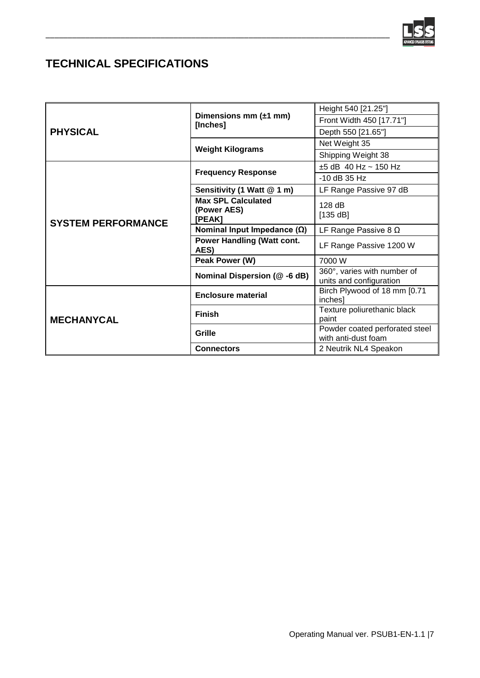

## <span id="page-6-0"></span>**TECHNICAL SPECIFICATIONS**

| <b>PHYSICAL</b>           | Dimensions mm $(\pm 1$ mm)<br>[Inches]    | Height 540 [21.25"]                                    |
|---------------------------|-------------------------------------------|--------------------------------------------------------|
|                           |                                           | Front Width 450 [17.71"]                               |
|                           |                                           | Depth 550 [21.65"]                                     |
|                           | <b>Weight Kilograms</b>                   | Net Weight 35                                          |
|                           |                                           | Shipping Weight 38                                     |
| <b>SYSTEM PERFORMANCE</b> | <b>Frequency Response</b>                 | $±5$ dB 40 Hz ~ 150 Hz                                 |
|                           |                                           | $-10$ dB 35 Hz                                         |
|                           | Sensitivity (1 Watt @ 1 m)                | LF Range Passive 97 dB                                 |
|                           | <b>Max SPL Calculated</b>                 | 128dB                                                  |
|                           | (Power AES)<br>[PEAK]                     | [135 dB]                                               |
|                           | Nominal Input Impedance $(\Omega)$        | LF Range Passive 8 $\Omega$                            |
|                           | <b>Power Handling (Watt cont.</b><br>AES) | LF Range Passive 1200 W                                |
|                           | Peak Power (W)                            | 7000 W                                                 |
|                           | Nominal Dispersion (@-6 dB)               | 360°, varies with number of<br>units and configuration |
| <b>MECHANYCAL</b>         | <b>Enclosure material</b>                 | Birch Plywood of 18 mm [0.71                           |
|                           |                                           | inches]                                                |
|                           | <b>Finish</b>                             | Texture poliurethanic black<br>paint                   |
|                           | Grille                                    | Powder coated perforated steel<br>with anti-dust foam  |
|                           | <b>Connectors</b>                         | 2 Neutrik NL4 Speakon                                  |

\_\_\_\_\_\_\_\_\_\_\_\_\_\_\_\_\_\_\_\_\_\_\_\_\_\_\_\_\_\_\_\_\_\_\_\_\_\_\_\_\_\_\_\_\_\_\_\_\_\_\_\_\_\_\_\_\_\_\_\_\_\_\_\_\_\_\_\_\_\_\_\_\_\_\_\_\_\_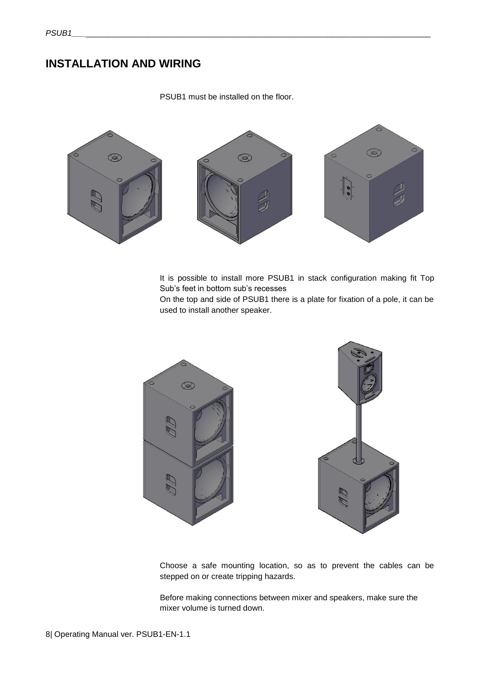## <span id="page-7-0"></span>**INSTALLATION AND WIRING**

PSUB1 must be installed on the floor.



It is possible to install more PSUB1 in stack configuration making fit Top Sub's feet in bottom sub's recesses

On the top and side of PSUB1 there is a plate for fixation of a pole, it can be used to install another speaker.





Choose a safe mounting location, so as to prevent the cables can be stepped on or create tripping hazards.

Before making connections between mixer and speakers, make sure the mixer volume is turned down.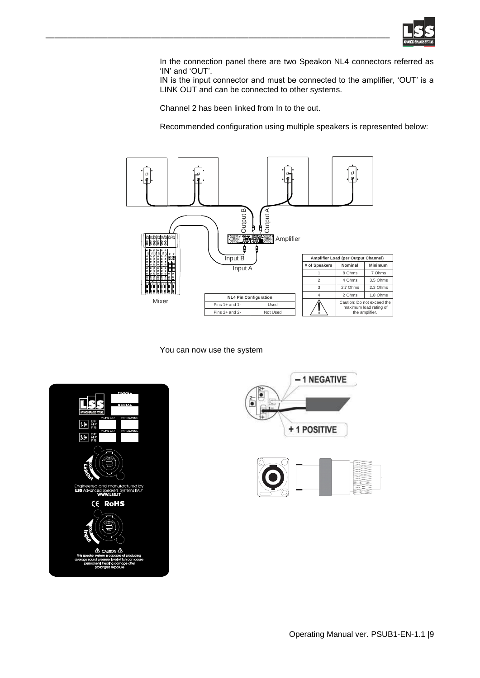

In the connection panel there are two Speakon NL4 connectors referred as 'IN' and 'OUT'.

IN is the input connector and must be connected to the amplifier, 'OUT' is a LINK OUT and can be connected to other systems.

Channel 2 has been linked from In to the out.

\_\_\_\_\_\_\_\_\_\_\_\_\_\_\_\_\_\_\_\_\_\_\_\_\_\_\_\_\_\_\_\_\_\_\_\_\_\_\_\_\_\_\_\_\_\_\_\_\_\_\_\_\_\_\_\_\_\_\_\_\_\_\_\_\_\_\_\_\_\_\_\_\_\_\_\_\_\_

Recommended configuration using multiple speakers is represented below:



You can now use the system



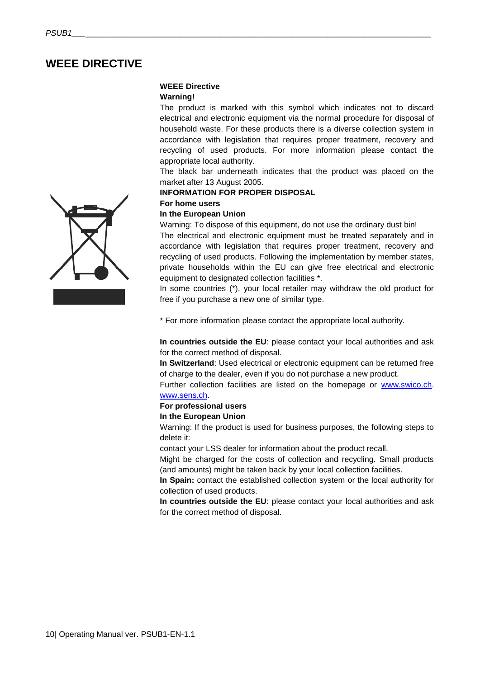## <span id="page-9-0"></span>**WEEE DIRECTIVE**

#### **WEEE Directive**

#### **Warning!**

The product is marked with this symbol which indicates not to discard electrical and electronic equipment via the normal procedure for disposal of household waste. For these products there is a diverse collection system in accordance with legislation that requires proper treatment, recovery and recycling of used products. For more information please contact the appropriate local authority.

The black bar underneath indicates that the product was placed on the market after 13 August 2005.

#### **INFORMATION FOR PROPER DISPOSAL**

#### **For home users**

#### **In the European Union**

Warning: To dispose of this equipment, do not use the ordinary dust bin!

The electrical and electronic equipment must be treated separately and in accordance with legislation that requires proper treatment, recovery and recycling of used products. Following the implementation by member states, private households within the EU can give free electrical and electronic equipment to designated collection facilities \*.

In some countries (\*), your local retailer may withdraw the old product for free if you purchase a new one of similar type.

\* For more information please contact the appropriate local authority.

**In countries outside the EU**: please contact your local authorities and ask for the correct method of disposal.

**In Switzerland**: Used electrical or electronic equipment can be returned free of charge to the dealer, even if you do not purchase a new product.

Further collection facilities are listed on the homepage or [www.swico.ch.](http://www.swico.ch/) [www.sens.ch.](http://www.sens.ch/) 

#### **For professional users**

#### **In the European Union**

Warning: If the product is used for business purposes, the following steps to delete it:

contact your LSS dealer for information about the product recall.

Might be charged for the costs of collection and recycling. Small products (and amounts) might be taken back by your local collection facilities.

**In Spain:** contact the established collection system or the local authority for collection of used products.

**In countries outside the EU**: please contact your local authorities and ask for the correct method of disposal.

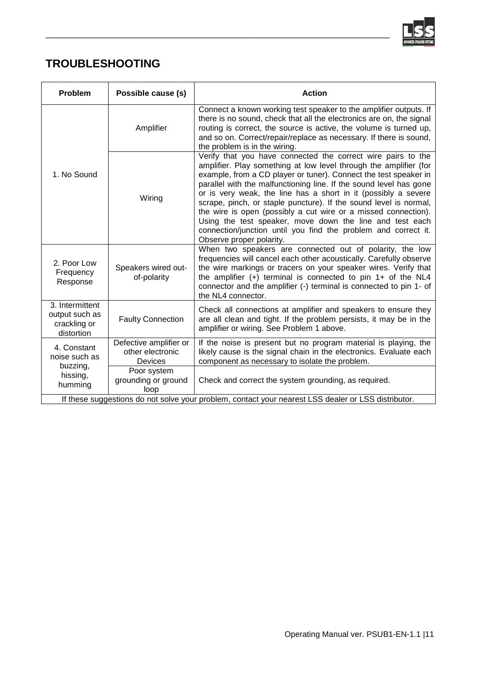

## <span id="page-10-0"></span>**TROUBLESHOOTING**

| Problem                                                                                             | Possible cause (s)                                    | <b>Action</b>                                                                                                                                                                                                                                                                                                                                                                                                                                                                                                                                                                                                                                  |  |
|-----------------------------------------------------------------------------------------------------|-------------------------------------------------------|------------------------------------------------------------------------------------------------------------------------------------------------------------------------------------------------------------------------------------------------------------------------------------------------------------------------------------------------------------------------------------------------------------------------------------------------------------------------------------------------------------------------------------------------------------------------------------------------------------------------------------------------|--|
| 1. No Sound                                                                                         | Amplifier                                             | Connect a known working test speaker to the amplifier outputs. If<br>there is no sound, check that all the electronics are on, the signal<br>routing is correct, the source is active, the volume is turned up,<br>and so on. Correct/repair/replace as necessary. If there is sound,<br>the problem is in the wiring.                                                                                                                                                                                                                                                                                                                         |  |
|                                                                                                     | Wiring                                                | Verify that you have connected the correct wire pairs to the<br>amplifier. Play something at low level through the amplifier (for<br>example, from a CD player or tuner). Connect the test speaker in<br>parallel with the malfunctioning line. If the sound level has gone<br>or is very weak, the line has a short in it (possibly a severe<br>scrape, pinch, or staple puncture). If the sound level is normal,<br>the wire is open (possibly a cut wire or a missed connection).<br>Using the test speaker, move down the line and test each<br>connection/junction until you find the problem and correct it.<br>Observe proper polarity. |  |
| 2. Poor Low<br>Frequency<br>Response                                                                | Speakers wired out-<br>of-polarity                    | When two speakers are connected out of polarity, the low<br>frequencies will cancel each other acoustically. Carefully observe<br>the wire markings or tracers on your speaker wires. Verify that<br>the amplifier $(+)$ terminal is connected to pin 1+ of the NL4<br>connector and the amplifier (-) terminal is connected to pin 1- of<br>the NL4 connector.                                                                                                                                                                                                                                                                                |  |
| 3. Intermittent<br>output such as<br>crackling or<br>distortion                                     | <b>Faulty Connection</b>                              | Check all connections at amplifier and speakers to ensure they<br>are all clean and tight. If the problem persists, it may be in the<br>amplifier or wiring. See Problem 1 above.                                                                                                                                                                                                                                                                                                                                                                                                                                                              |  |
| 4. Constant<br>noise such as<br>buzzing,<br>hissing,<br>humming                                     | Defective amplifier or<br>other electronic<br>Devices | If the noise is present but no program material is playing, the<br>likely cause is the signal chain in the electronics. Evaluate each<br>component as necessary to isolate the problem.                                                                                                                                                                                                                                                                                                                                                                                                                                                        |  |
|                                                                                                     | Poor system<br>grounding or ground<br>loop            | Check and correct the system grounding, as required.                                                                                                                                                                                                                                                                                                                                                                                                                                                                                                                                                                                           |  |
| If these suggestions do not solve your problem, contact your nearest LSS dealer or LSS distributor. |                                                       |                                                                                                                                                                                                                                                                                                                                                                                                                                                                                                                                                                                                                                                |  |

\_\_\_\_\_\_\_\_\_\_\_\_\_\_\_\_\_\_\_\_\_\_\_\_\_\_\_\_\_\_\_\_\_\_\_\_\_\_\_\_\_\_\_\_\_\_\_\_\_\_\_\_\_\_\_\_\_\_\_\_\_\_\_\_\_\_\_\_\_\_\_\_\_\_\_\_\_\_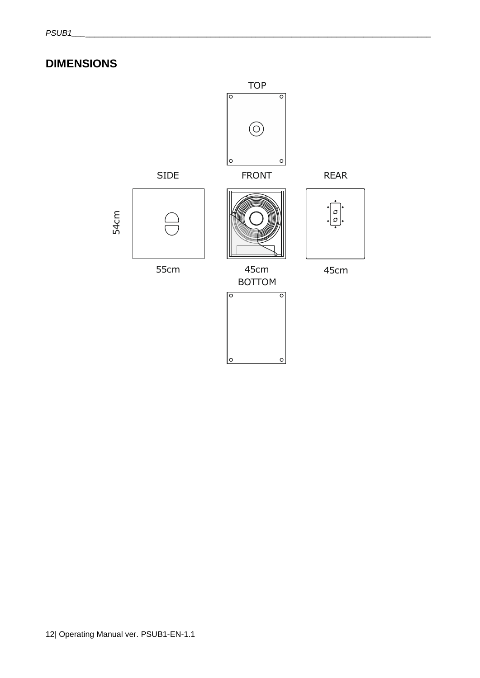## <span id="page-11-0"></span>**DIMENSIONS**

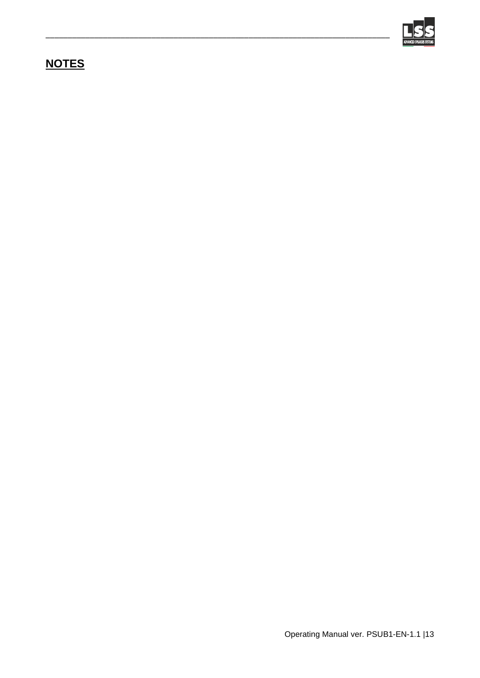

## <span id="page-12-0"></span>**NOTES**